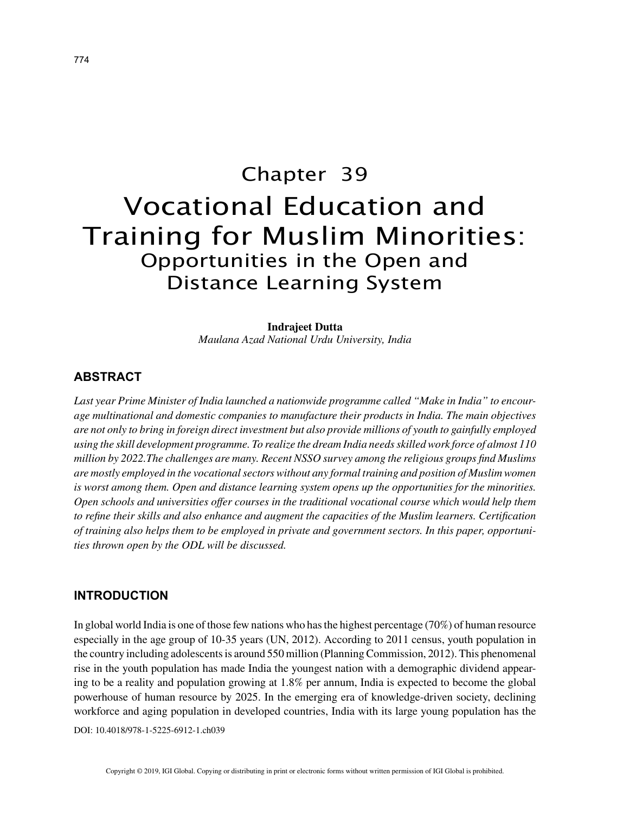# Chapter 39 Vocational Education and Training for Muslim Minorities: Opportunities in the Open and Distance Learning System

#### **Indrajeet Dutta**

*Maulana Azad National Urdu University, India*

## **ABSTRACT**

*Last year Prime Minister of India launched a nationwide programme called "Make in India" to encourage multinational and domestic companies to manufacture their products in India. The main objectives are not only to bring in foreign direct investment but also provide millions of youth to gainfully employed using the skill development programme. To realize the dream India needs skilled work force of almost 110 million by 2022.The challenges are many. Recent NSSO survey among the religious groups find Muslims are mostly employed in the vocational sectors without any formal training and position of Muslim women is worst among them. Open and distance learning system opens up the opportunities for the minorities. Open schools and universities offer courses in the traditional vocational course which would help them to refine their skills and also enhance and augment the capacities of the Muslim learners. Certification of training also helps them to be employed in private and government sectors. In this paper, opportunities thrown open by the ODL will be discussed.*

## **INTRODUCTION**

In global world India is one of those few nations who has the highest percentage (70%) of human resource especially in the age group of 10-35 years (UN, 2012). According to 2011 census, youth population in the country including adolescents is around 550 million (Planning Commission, 2012). This phenomenal rise in the youth population has made India the youngest nation with a demographic dividend appearing to be a reality and population growing at 1.8% per annum, India is expected to become the global powerhouse of human resource by 2025. In the emerging era of knowledge-driven society, declining workforce and aging population in developed countries, India with its large young population has the

DOI: 10.4018/978-1-5225-6912-1.ch039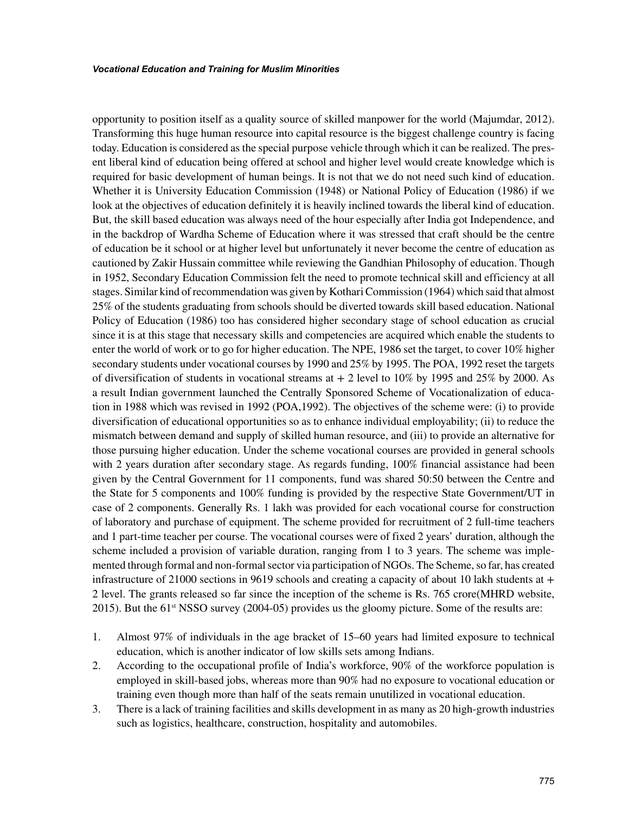opportunity to position itself as a quality source of skilled manpower for the world (Majumdar, 2012). Transforming this huge human resource into capital resource is the biggest challenge country is facing today. Education is considered as the special purpose vehicle through which it can be realized. The present liberal kind of education being offered at school and higher level would create knowledge which is required for basic development of human beings. It is not that we do not need such kind of education. Whether it is University Education Commission (1948) or National Policy of Education (1986) if we look at the objectives of education definitely it is heavily inclined towards the liberal kind of education. But, the skill based education was always need of the hour especially after India got Independence, and in the backdrop of Wardha Scheme of Education where it was stressed that craft should be the centre of education be it school or at higher level but unfortunately it never become the centre of education as cautioned by Zakir Hussain committee while reviewing the Gandhian Philosophy of education. Though in 1952, Secondary Education Commission felt the need to promote technical skill and efficiency at all stages. Similar kind of recommendation was given by Kothari Commission (1964) which said that almost 25% of the students graduating from schools should be diverted towards skill based education. National Policy of Education (1986) too has considered higher secondary stage of school education as crucial since it is at this stage that necessary skills and competencies are acquired which enable the students to enter the world of work or to go for higher education. The NPE, 1986 set the target, to cover 10% higher secondary students under vocational courses by 1990 and 25% by 1995. The POA, 1992 reset the targets of diversification of students in vocational streams at  $+2$  level to 10% by 1995 and 25% by 2000. As a result Indian government launched the Centrally Sponsored Scheme of Vocationalization of education in 1988 which was revised in 1992 (POA,1992). The objectives of the scheme were: (i) to provide diversification of educational opportunities so as to enhance individual employability; (ii) to reduce the mismatch between demand and supply of skilled human resource, and (iii) to provide an alternative for those pursuing higher education. Under the scheme vocational courses are provided in general schools with 2 years duration after secondary stage. As regards funding, 100% financial assistance had been given by the Central Government for 11 components, fund was shared 50:50 between the Centre and the State for 5 components and 100% funding is provided by the respective State Government/UT in case of 2 components. Generally Rs. 1 lakh was provided for each vocational course for construction of laboratory and purchase of equipment. The scheme provided for recruitment of 2 full-time teachers and 1 part-time teacher per course. The vocational courses were of fixed 2 years' duration, although the scheme included a provision of variable duration, ranging from 1 to 3 years. The scheme was implemented through formal and non-formal sector via participation of NGOs. The Scheme, so far, has created infrastructure of 21000 sections in 9619 schools and creating a capacity of about 10 lakh students at  $+$ 2 level. The grants released so far since the inception of the scheme is Rs. 765 crore(MHRD website, 2015). But the 61<sup>st</sup> NSSO survey (2004-05) provides us the gloomy picture. Some of the results are:

- 1. Almost 97% of individuals in the age bracket of 15–60 years had limited exposure to technical education, which is another indicator of low skills sets among Indians.
- 2. According to the occupational profile of India's workforce, 90% of the workforce population is employed in skill-based jobs, whereas more than 90% had no exposure to vocational education or training even though more than half of the seats remain unutilized in vocational education.
- 3. There is a lack of training facilities and skills development in as many as 20 high-growth industries such as logistics, healthcare, construction, hospitality and automobiles.